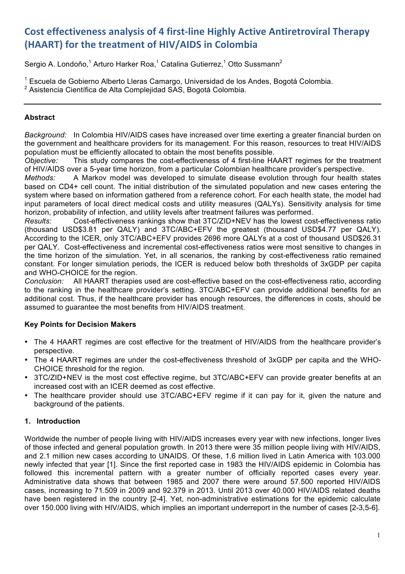# **Cost effectiveness analysis of 4 first-line Highly Active Antiretroviral Therapy (HAART)** for the treatment of HIV/AIDS in Colombia

Sergio A. Londoño,<sup>1</sup> Arturo Harker Roa,<sup>1</sup> Catalina Gutierrez,<sup>1</sup> Otto Sussmann<sup>2</sup>

<sup>1</sup> Escuela de Gobierno Alberto Lleras Camargo, Universidad de los Andes, Bogotá Colombia. <sup>2</sup> Asistencia Científica de Alta Complejidad SAS, Bogotá Colombia.

# **Abstract**

*Background:* In Colombia HIV/AIDS cases have increased over time exerting a greater financial burden on the government and healthcare providers for its management. For this reason, resources to treat HIV/AIDS population must be efficiently allocated to obtain the most benefits possible.

*Objective:* This study compares the cost-effectiveness of 4 first-line HAART regimes for the treatment of HIV/AIDS over a 5-year time horizon, from a particular Colombian healthcare provider's perspective.

*Methods:* A Markov model was developed to simulate disease evolution through four health states based on CD4+ cell count. The initial distribution of the simulated population and new cases entering the system where based on information gathered from a reference cohort. For each health state, the model had input parameters of local direct medical costs and utility measures (QALYs). Sensitivity analysis for time horizon, probability of infection, and utility levels after treatment failures was performed.

*Results:* Cost-effectiveness rankings show that 3TC/ZID+NEV has the lowest cost-effectiveness ratio (thousand USD\$3.81 per QALY) and 3TC/ABC+EFV the greatest (thousand USD\$4.77 per QALY). According to the ICER, only 3TC/ABC+EFV provides 2696 more QALYs at a cost of thousand USD\$26.31 per QALY. Cost-effectiveness and incremental cost-effectiveness ratios were most sensitive to changes in the time horizon of the simulation. Yet, in all scenarios, the ranking by cost-effectiveness ratio remained constant. For longer simulation periods, the ICER is reduced below both thresholds of 3xGDP per capita and WHO-CHOICE for the region.

*Conclusion:* All HAART therapies used are cost-effective based on the cost-effectiveness ratio, according to the ranking in the healthcare provider's setting. 3TC/ABC+EFV can provide additional benefits for an additional cost. Thus, if the healthcare provider has enough resources, the differences in costs, should be assumed to guarantee the most benefits from HIV/AIDS treatment.

# **Key Points for Decision Makers**

- The 4 HAART regimes are cost effective for the treatment of HIV/AIDS from the healthcare provider's perspective.
- The 4 HAART regimes are under the cost-effectiveness threshold of 3xGDP per capita and the WHO-CHOICE threshold for the region.
- 3TC/ZID+NEV is the most cost effective regime, but 3TC/ABC+EFV can provide greater benefits at an increased cost with an ICER deemed as cost effective.
- The healthcare provider should use 3TC/ABC+EFV regime if it can pay for it, given the nature and background of the patients.

# **1. Introduction**

Worldwide the number of people living with HIV/AIDS increases every year with new infections, longer lives of those infected and general population growth. In 2013 there were 35 million people living with HIV/AIDS, and 2.1 million new cases according to UNAIDS. Of these, 1.6 million lived in Latin America with 103.000 newly infected that year [1]. Since the first reported case in 1983 the HIV/AIDS epidemic in Colombia has followed this incremental pattern with a greater number of officially reported cases every year. Administrative data shows that between 1985 and 2007 there were around 57.500 reported HIV/AIDS cases, increasing to 71.509 in 2009 and 92.379 in 2013. Until 2013 over 40.000 HIV/AIDS related deaths have been registered in the country [2-4]. Yet, non-administrative estimations for the epidemic calculate over 150.000 living with HIV/AIDS, which implies an important underreport in the number of cases [2-3,5-6].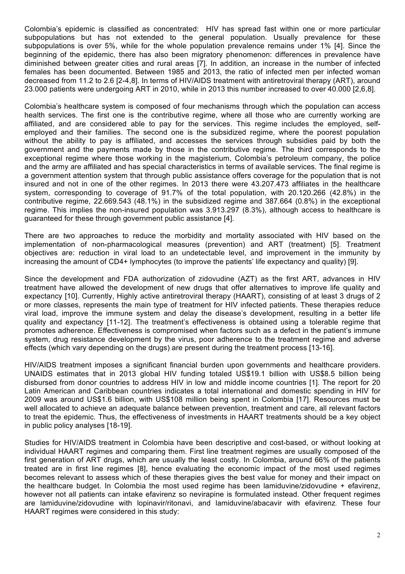Colombia's epidemic is classified as concentrated: HIV has spread fast within one or more particular subpopulations but has not extended to the general population. Usually prevalence for these subpopulations is over 5%, while for the whole population prevalence remains under 1% [4]. Since the beginning of the epidemic, there has also been migratory phenomenon: differences in prevalence have diminished between greater cities and rural areas [7]. In addition, an increase in the number of infected females has been documented. Between 1985 and 2013, the ratio of infected men per infected woman decreased from 11.2 to 2.6 [2-4,8]. In terms of HIV/AIDS treatment with antiretroviral therapy (ART), around 23.000 patients were undergoing ART in 2010, while in 2013 this number increased to over 40.000 [2,6,8].

Colombia's healthcare system is composed of four mechanisms through which the population can access health services. The first one is the contributive regime, where all those who are currently working are affiliated, and are considered able to pay for the services. This regime includes the employed, selfemployed and their families. The second one is the subsidized regime, where the poorest population without the ability to pay is affiliated, and accesses the services through subsidies paid by both the government and the payments made by those in the contributive regime. The third corresponds to the exceptional regime where those working in the magisterium, Colombia's petroleum company, the police and the army are affiliated and has special characteristics in terms of available services. The final regime is a government attention system that through public assistance offers coverage for the population that is not insured and not in one of the other regimes. In 2013 there were 43.207.473 affiliates in the healthcare system, corresponding to coverage of 91.7% of the total population, with 20.120.266 (42.8%) in the contributive regime, 22.669.543 (48.1%) in the subsidized regime and 387.664 (0.8%) in the exceptional regime. This implies the non-insured population was 3.913.297 (8.3%), although access to healthcare is guaranteed for these through government public assistance [4].

There are two approaches to reduce the morbidity and mortality associated with HIV based on the implementation of non-pharmacological measures (prevention) and ART (treatment) [5]. Treatment objectives are: reduction in viral load to an undetectable level, and improvement in the immunity by increasing the amount of CD4+ lymphocytes (to improve the patients' life expectancy and quality) [9].

Since the development and FDA authorization of zidovudine (AZT) as the first ART, advances in HIV treatment have allowed the development of new drugs that offer alternatives to improve life quality and expectancy [10]. Currently, Highly active antiretroviral therapy (HAART), consisting of at least 3 drugs of 2 or more classes, represents the main type of treatment for HIV infected patients. These therapies reduce viral load, improve the immune system and delay the disease's development, resulting in a better life quality and expectancy [11-12]. The treatment's effectiveness is obtained using a tolerable regime that promotes adherence. Effectiveness is compromised when factors such as a defect in the patient's immune system, drug resistance development by the virus, poor adherence to the treatment regime and adverse effects (which vary depending on the drugs) are present during the treatment process [13-16].

HIV/AIDS treatment imposes a significant financial burden upon governments and healthcare providers. UNAIDS estimates that in 2013 global HIV funding totaled US\$19.1 billion with US\$8.5 billion being disbursed from donor countries to address HIV in low and middle income countries [1]. The report for 20 Latin American and Caribbean countries indicates a total international and domestic spending in HIV for 2009 was around US\$1.6 billion, with US\$108 million being spent in Colombia [17]. Resources must be well allocated to achieve an adequate balance between prevention, treatment and care, all relevant factors to treat the epidemic. Thus, the effectiveness of investments in HAART treatments should be a key object in public policy analyses [18-19].

Studies for HIV/AIDS treatment in Colombia have been descriptive and cost-based, or without looking at individual HAART regimes and comparing them. First line treatment regimes are usually composed of the first generation of ART drugs, which are usually the least costly. In Colombia, around 66% of the patients treated are in first line regimes [8], hence evaluating the economic impact of the most used regimes becomes relevant to assess which of these therapies gives the best value for money and their impact on the healthcare budget. In Colombia the most used regime has been lamiduvine/zidovudine + efavirenz, however not all patients can intake efavirenz so nevirapine is formulated instead. Other frequent regimes are lamiduvine/zidovudine with lopinavir/ritonavi, and lamiduvine/abacavir with efavirenz. These four HAART regimes were considered in this study: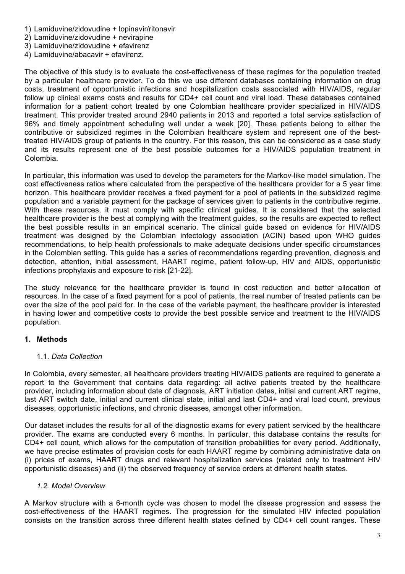- 1) Lamiduvine/zidovudine + lopinavir/ritonavir
- 2) Lamiduvine/zidovudine + nevirapine
- 3) Lamiduvine/zidovudine + efavirenz
- 4) Lamiduvine/abacavir + efavirenz.

The objective of this study is to evaluate the cost-effectiveness of these regimes for the population treated by a particular healthcare provider. To do this we use different databases containing information on drug costs, treatment of opportunistic infections and hospitalization costs associated with HIV/AIDS, regular follow up clinical exams costs and results for CD4+ cell count and viral load. These databases contained information for a patient cohort treated by one Colombian healthcare provider specialized in HIV/AIDS treatment. This provider treated around 2940 patients in 2013 and reported a total service satisfaction of 96% and timely appointment scheduling well under a week [20]. These patients belong to either the contributive or subsidized regimes in the Colombian healthcare system and represent one of the besttreated HIV/AIDS group of patients in the country. For this reason, this can be considered as a case study and its results represent one of the best possible outcomes for a HIV/AIDS population treatment in Colombia.

In particular, this information was used to develop the parameters for the Markov-like model simulation. The cost effectiveness ratios where calculated from the perspective of the healthcare provider for a 5 year time horizon. This healthcare provider receives a fixed payment for a pool of patients in the subsidized regime population and a variable payment for the package of services given to patients in the contributive regime. With these resources, it must comply with specific clinical guides. It is considered that the selected healthcare provider is the best at complying with the treatment guides, so the results are expected to reflect the best possible results in an empirical scenario. The clinical guide based on evidence for HIV/AIDS treatment was designed by the Colombian infectology association (ACIN) based upon WHO guides recommendations, to help health professionals to make adequate decisions under specific circumstances in the Colombian setting. This guide has a series of recommendations regarding prevention, diagnosis and detection, attention, initial assessment, HAART regime, patient follow-up, HIV and AIDS, opportunistic infections prophylaxis and exposure to risk [21-22].

The study relevance for the healthcare provider is found in cost reduction and better allocation of resources. In the case of a fixed payment for a pool of patients, the real number of treated patients can be over the size of the pool paid for. In the case of the variable payment, the healthcare provider is interested in having lower and competitive costs to provide the best possible service and treatment to the HIV/AIDS population.

## **1. Methods**

## 1.1. *Data Collection*

In Colombia, every semester, all healthcare providers treating HIV/AIDS patients are required to generate a report to the Government that contains data regarding: all active patients treated by the healthcare provider, including information about date of diagnosis, ART initiation dates, initial and current ART regime, last ART switch date, initial and current clinical state, initial and last CD4+ and viral load count, previous diseases, opportunistic infections, and chronic diseases, amongst other information.

Our dataset includes the results for all of the diagnostic exams for every patient serviced by the healthcare provider. The exams are conducted every 6 months. In particular, this database contains the results for CD4+ cell count, which allows for the computation of transition probabilities for every period. Additionally, we have precise estimates of provision costs for each HAART regime by combining administrative data on (i) prices of exams, HAART drugs and relevant hospitalization services (related only to treatment HIV opportunistic diseases) and (ii) the observed frequency of service orders at different health states.

## *1.2. Model Overview*

A Markov structure with a 6-month cycle was chosen to model the disease progression and assess the cost-effectiveness of the HAART regimes. The progression for the simulated HIV infected population consists on the transition across three different health states defined by CD4+ cell count ranges. These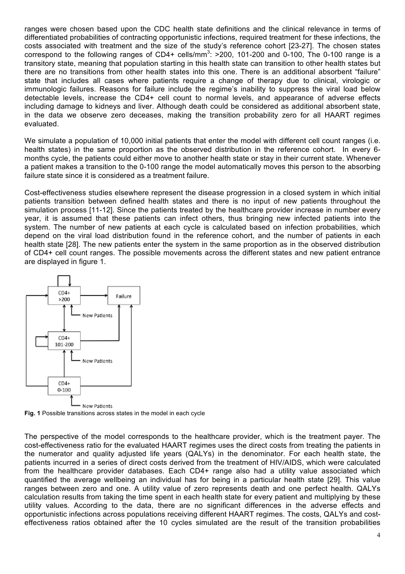ranges were chosen based upon the CDC health state definitions and the clinical relevance in terms of differentiated probabilities of contracting opportunistic infections, required treatment for these infections, the costs associated with treatment and the size of the study's reference cohort [23-27]. The chosen states correspond to the following ranges of CD4+ cells/mm<sup>3</sup>:  $>$ 200, 101-200 and 0-100, The 0-100 range is a transitory state, meaning that population starting in this health state can transition to other health states but there are no transitions from other health states into this one. There is an additional absorbent "failure" state that includes all cases where patients require a change of therapy due to clinical, virologic or immunologic failures. Reasons for failure include the regime's inability to suppress the viral load below detectable levels, increase the CD4+ cell count to normal levels, and appearance of adverse effects including damage to kidneys and liver. Although death could be considered as additional absorbent state, in the data we observe zero deceases, making the transition probability zero for all HAART regimes evaluated.

We simulate a population of 10,000 initial patients that enter the model with different cell count ranges (i.e. health states) in the same proportion as the observed distribution in the reference cohort. In every 6 months cycle, the patients could either move to another health state or stay in their current state. Whenever a patient makes a transition to the 0-100 range the model automatically moves this person to the absorbing failure state since it is considered as a treatment failure.

Cost-effectiveness studies elsewhere represent the disease progression in a closed system in which initial patients transition between defined health states and there is no input of new patients throughout the simulation process [11-12]. Since the patients treated by the healthcare provider increase in number every year, it is assumed that these patients can infect others, thus bringing new infected patients into the system. The number of new patients at each cycle is calculated based on infection probabilities, which depend on the viral load distribution found in the reference cohort, and the number of patients in each health state [28]. The new patients enter the system in the same proportion as in the observed distribution of CD4+ cell count ranges. The possible movements across the different states and new patient entrance are displayed in figure 1.



**Fig. 1** Possible transitions across states in the model in each cycle

The perspective of the model corresponds to the healthcare provider, which is the treatment payer. The cost-effectiveness ratio for the evaluated HAART regimes uses the direct costs from treating the patients in the numerator and quality adjusted life years (QALYs) in the denominator. For each health state, the patients incurred in a series of direct costs derived from the treatment of HIV/AIDS, which were calculated from the healthcare provider databases. Each CD4+ range also had a utility value associated which quantified the average wellbeing an individual has for being in a particular health state [29]. This value ranges between zero and one. A utility value of zero represents death and one perfect health. QALYs calculation results from taking the time spent in each health state for every patient and multiplying by these utility values. According to the data, there are no significant differences in the adverse effects and opportunistic infections across populations receiving different HAART regimes. The costs, QALYs and costeffectiveness ratios obtained after the 10 cycles simulated are the result of the transition probabilities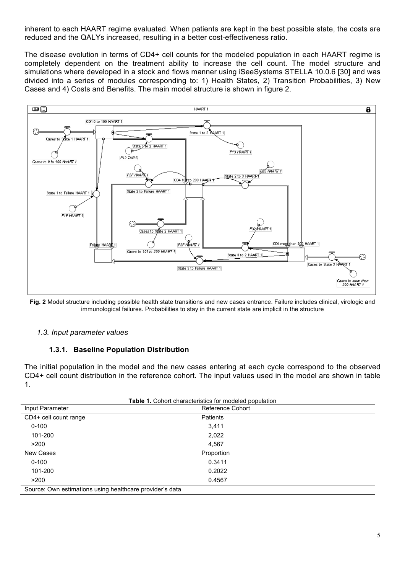inherent to each HAART regime evaluated. When patients are kept in the best possible state, the costs are reduced and the QALYs increased, resulting in a better cost-effectiveness ratio.

The disease evolution in terms of CD4+ cell counts for the modeled population in each HAART regime is completely dependent on the treatment ability to increase the cell count. The model structure and simulations where developed in a stock and flows manner using iSeeSystems STELLA 10.0.6 [30] and was divided into a series of modules corresponding to: 1) Health States, 2) Transition Probabilities, 3) New Cases and 4) Costs and Benefits. The main model structure is shown in figure 2.



**Fig. 2** Model structure including possible health state transitions and new cases entrance. Failure includes clinical, virologic and immunological failures. Probabilities to stay in the current state are implicit in the structure

#### *1.3. Input parameter values*

## **1.3.1. Baseline Population Distribution**

The initial population in the model and the new cases entering at each cycle correspond to the observed CD4+ cell count distribution in the reference cohort. The input values used in the model are shown in table 1.

| Table 1. Cohort characteristics for modeled population   |                  |  |  |  |
|----------------------------------------------------------|------------------|--|--|--|
| Input Parameter                                          | Reference Cohort |  |  |  |
| CD4+ cell count range                                    | Patients         |  |  |  |
| $0 - 100$                                                | 3,411            |  |  |  |
| 101-200                                                  | 2,022            |  |  |  |
| >200                                                     | 4,567            |  |  |  |
| New Cases                                                | Proportion       |  |  |  |
| $0 - 100$                                                | 0.3411           |  |  |  |
| 101-200                                                  | 0.2022           |  |  |  |
| >200                                                     | 0.4567           |  |  |  |
| Source: Own estimations using healthcare provider's data |                  |  |  |  |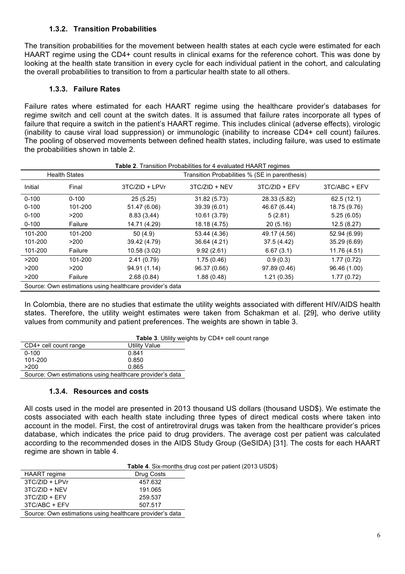## **1.3.2. Transition Probabilities**

The transition probabilities for the movement between health states at each cycle were estimated for each HAART regime using the CD4+ count results in clinical exams for the reference cohort. This was done by looking at the health state transition in every cycle for each individual patient in the cohort, and calculating the overall probabilities to transition to from a particular health state to all others.

## **1.3.3. Failure Rates**

Failure rates where estimated for each HAART regime using the healthcare provider's databases for regime switch and cell count at the switch dates. It is assumed that failure rates incorporate all types of failure that require a switch in the patient's HAART regime. This includes clinical (adverse effects), virologic (inability to cause viral load suppression) or immunologic (inability to increase CD4+ cell count) failures. The pooling of observed movements between defined health states, including failure, was used to estimate the probabilities shown in table 2.

| <b>Table 2.</b> Transition Probabilities for 4 evaluated HAART regimes |                      |                                                          |                 |                 |               |  |  |
|------------------------------------------------------------------------|----------------------|----------------------------------------------------------|-----------------|-----------------|---------------|--|--|
|                                                                        | <b>Health States</b> | Transition Probabilities % (SE in parenthesis)           |                 |                 |               |  |  |
| Initial                                                                | Final                | 3TC/ZID + LPVr                                           | $3TC/ZID + NEV$ | $3TC/ZID + EFV$ | 3TC/ABC + EFV |  |  |
| $0 - 100$                                                              | $0 - 100$            | 25(5.25)                                                 | 31.82 (5.73)    | 28.33 (5.82)    | 62.5(12.1)    |  |  |
| $0 - 100$                                                              | 101-200              | 51.47 (6.06)                                             | 39.39 (6.01)    | 46.67 (6.44)    | 18.75 (9.76)  |  |  |
| $0 - 100$                                                              | >200                 | 8.83(3,44)                                               | 10.61 (3.79)    | 5(2.81)         | 5.25(6.05)    |  |  |
| $0 - 100$                                                              | Failure              | 14.71 (4.29)                                             | 18.18 (4.75)    | 20(5.16)        | 12.5(8.27)    |  |  |
| 101-200                                                                | 101-200              | 50(4.9)                                                  | 53.44 (4.36)    | 49.17 (4.56)    | 52.94 (6.99)  |  |  |
| 101-200                                                                | >200                 | 39.42 (4.79)                                             | 36.64 (4.21)    | 37.5 (4.42)     | 35.29 (6.69)  |  |  |
| 101-200                                                                | Failure              | 10.58 (3.02)                                             | 9.92(2.61)      | 6.67(3.1)       | 11.76 (4.51)  |  |  |
| >200                                                                   | 101-200              | 2.41(0.79)                                               | 1.75(0.46)      | 0.9(0.3)        | 1.77(0.72)    |  |  |
| >200                                                                   | >200                 | 94.91 (1.14)                                             | 96.37 (0.66)    | 97.89 (0.46)    | 96.46 (1.00)  |  |  |
| >200                                                                   | Failure              | 2.68(0.84)                                               | 1.88(0.48)      | 1.21(0.35)      | 1.77(0.72)    |  |  |
|                                                                        |                      | Source: Own estimations using healthcare provider's data |                 |                 |               |  |  |

In Colombia, there are no studies that estimate the utility weights associated with different HIV/AIDS health states. Therefore, the utility weight estimates were taken from Schakman et al. [29], who derive utility values from community and patient preferences. The weights are shown in table 3.

|                                                          |               | <b>Table 3.</b> Utility weights by CD4+ cell count range |
|----------------------------------------------------------|---------------|----------------------------------------------------------|
| CD4+ cell count range                                    | Utility Value |                                                          |
| $0 - 100$                                                | 0.841         |                                                          |
| 101-200                                                  | 0.850         |                                                          |
| >200                                                     | 0.865         |                                                          |
| Source: Own estimations using healthcare provider's data |               |                                                          |

## **1.3.4. Resources and costs**

All costs used in the model are presented in 2013 thousand US dollars (thousand USD\$). We estimate the costs associated with each health state including three types of direct medical costs where taken into account in the model. First, the cost of antiretroviral drugs was taken from the healthcare provider's prices database, which indicates the price paid to drug providers. The average cost per patient was calculated according to the recommended doses in the AIDS Study Group (GeSIDA) [31]. The costs for each HAART regime are shown in table 4.

|                  |                                                          | <b>Table 4.</b> Six-months drug cost per patient (2013 USD\$) |
|------------------|----------------------------------------------------------|---------------------------------------------------------------|
| HAART regime     | Drug Costs                                               |                                                               |
| $3TC/ZID + LPVr$ | 457.632                                                  |                                                               |
| $3TC/ZID + NEV$  | 191.065                                                  |                                                               |
| $3TC/ZID + EFV$  | 259.537                                                  |                                                               |
| 3TC/ABC + EFV    | 507.517                                                  |                                                               |
|                  | Source: Own estimations using healthcare provider's data |                                                               |
|                  |                                                          |                                                               |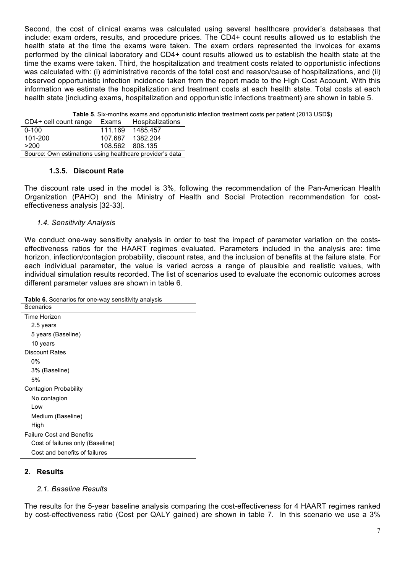Second, the cost of clinical exams was calculated using several healthcare provider's databases that include: exam orders, results, and procedure prices. The CD4+ count results allowed us to establish the health state at the time the exams were taken. The exam orders represented the invoices for exams performed by the clinical laboratory and CD4+ count results allowed us to establish the health state at the time the exams were taken. Third, the hospitalization and treatment costs related to opportunistic infections was calculated with: (i) administrative records of the total cost and reason/cause of hospitalizations, and (ii) observed opportunistic infection incidence taken from the report made to the High Cost Account. With this information we estimate the hospitalization and treatment costs at each health state. Total costs at each health state (including exams, hospitalization and opportunistic infections treatment) are shown in table 5.

|                                                          |         |                  | <b>Table 5.</b> Six-months exams and opportunistic infection treatment costs per patient (2013 USD\$) |
|----------------------------------------------------------|---------|------------------|-------------------------------------------------------------------------------------------------------|
| CD4+ cell count range Exams                              |         | Hospitalizations |                                                                                                       |
| $0 - 100$                                                | 111.169 | 1485.457         |                                                                                                       |
| 101-200                                                  | 107.687 | 1382.204         |                                                                                                       |
| >200                                                     | 108.562 | 808.135          |                                                                                                       |
| Source: Own estimations using healthcare provider's data |         |                  |                                                                                                       |

#### **1.3.5. Discount Rate**

The discount rate used in the model is 3%, following the recommendation of the Pan-American Health Organization (PAHO) and the Ministry of Health and Social Protection recommendation for costeffectiveness analysis [32-33].

## *1.4. Sensitivity Analysis*

We conduct one-way sensitivity analysis in order to test the impact of parameter variation on the costseffectiveness ratios for the HAART regimes evaluated. Parameters included in the analysis are: time horizon, infection/contagion probability, discount rates, and the inclusion of benefits at the failure state. For each individual parameter, the value is varied across a range of plausible and realistic values, with individual simulation results recorded. The list of scenarios used to evaluate the economic outcomes across different parameter values are shown in table 6.

**Table 6.** Scenarios for one-way sensitivity analysis

| Scenarios                        |
|----------------------------------|
| Time Horizon                     |
| 2.5 years                        |
| 5 years (Baseline)               |
| 10 years                         |
| <b>Discount Rates</b>            |
| 0%                               |
| 3% (Baseline)                    |
| 5%                               |
| Contagion Probability            |
| No contagion                     |
| Low                              |
| Medium (Baseline)                |
| High                             |
| <b>Failure Cost and Benefits</b> |
| Cost of failures only (Baseline) |
| Cost and benefits of failures    |

## **2. Results**

## *2.1. Baseline Results*

The results for the 5-year baseline analysis comparing the cost-effectiveness for 4 HAART regimes ranked by cost-effectiveness ratio (Cost per QALY gained) are shown in table 7. In this scenario we use a 3%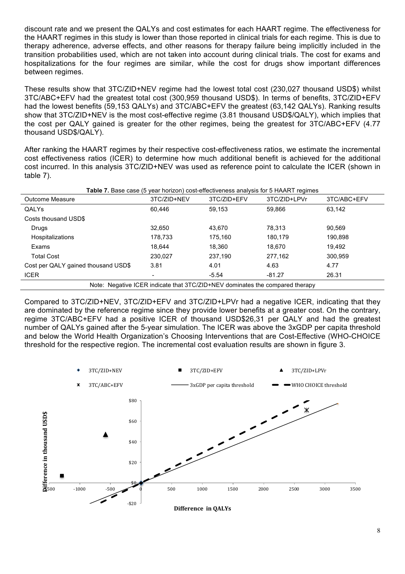discount rate and we present the QALYs and cost estimates for each HAART regime. The effectiveness for the HAART regimes in this study is lower than those reported in clinical trials for each regime. This is due to therapy adherence, adverse effects, and other reasons for therapy failure being implicitly included in the transition probabilities used, which are not taken into account during clinical trials. The cost for exams and hospitalizations for the four regimes are similar, while the cost for drugs show important differences between regimes.

These results show that 3TC/ZID+NEV regime had the lowest total cost (230,027 thousand USD\$) whilst 3TC/ABC+EFV had the greatest total cost (300,959 thousand USD\$). In terms of benefits, 3TC/ZID+EFV had the lowest benefits (59,153 QALYs) and 3TC/ABC+EFV the greatest (63,142 QALYs). Ranking results show that 3TC/ZID+NEV is the most cost-effective regime (3.81 thousand USD\$/QALY), which implies that the cost per QALY gained is greater for the other regimes, being the greatest for 3TC/ABC+EFV (4.77 thousand USD\$/QALY).

After ranking the HAART regimes by their respective cost-effectiveness ratios, we estimate the incremental cost effectiveness ratios (ICER) to determine how much additional benefit is achieved for the additional cost incurred. In this analysis 3TC/ZID+NEV was used as reference point to calculate the ICER (shown in table 7).

| <b>Table 7.</b> Base case (5 year horizon) cost-effectiveness analysis for 5 HAART regimes |             |                                                                              |              |             |  |  |
|--------------------------------------------------------------------------------------------|-------------|------------------------------------------------------------------------------|--------------|-------------|--|--|
| Outcome Measure                                                                            | 3TC/ZID+NEV | 3TC/ZID+EFV                                                                  | 3TC/ZID+LPVr | 3TC/ABC+EFV |  |  |
| QALYs                                                                                      | 60.446      | 59.153                                                                       | 59,866       | 63,142      |  |  |
| Costs thousand USD\$                                                                       |             |                                                                              |              |             |  |  |
| Drugs                                                                                      | 32,650      | 43.670                                                                       | 78,313       | 90,569      |  |  |
| <b>Hospitalizations</b>                                                                    | 178,733     | 175,160                                                                      | 180.179      | 190,898     |  |  |
| Exams                                                                                      | 18.644      | 18.360                                                                       | 18,670       | 19,492      |  |  |
| <b>Total Cost</b>                                                                          | 230.027     | 237.190                                                                      | 277.162      | 300.959     |  |  |
| Cost per QALY gained thousand USD\$                                                        | 3.81        | 4.01                                                                         | 4.63         | 4.77        |  |  |
| <b>ICER</b>                                                                                |             | $-5.54$                                                                      | $-81.27$     | 26.31       |  |  |
|                                                                                            |             | Note: Negative ICER indicate that 3TC/ZID+NEV dominates the compared therapy |              |             |  |  |

Compared to 3TC/ZID+NEV, 3TC/ZID+EFV and 3TC/ZID+LPVr had a negative ICER, indicating that they are dominated by the reference regime since they provide lower benefits at a greater cost. On the contrary, regime 3TC/ABC+EFV had a positive ICER of thousand USD\$26,31 per QALY and had the greatest number of QALYs gained after the 5-year simulation. The ICER was above the 3xGDP per capita threshold and below the World Health Organization's Choosing Interventions that are Cost-Effective (WHO-CHOICE threshold for the respective region. The incremental cost evaluation results are shown in figure 3.

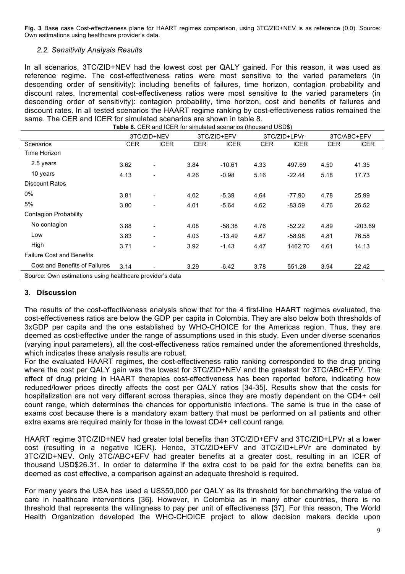**Fig. 3** Base case Cost-effectiveness plane for HAART regimes comparison, using 3TC/ZID+NEV is as reference (0,0). Source: Own estimations using healthcare provider's data.

## *2.2. Sensitivity Analysis Results*

In all scenarios, 3TC/ZID+NEV had the lowest cost per QALY gained. For this reason, it was used as reference regime. The cost-effectiveness ratios were most sensitive to the varied parameters (in descending order of sensitivity): including benefits of failures, time horizon, contagion probability and discount rates. Incremental cost-effectiveness ratios were most sensitive to the varied parameters (in descending order of sensitivity): contagion probability, time horizon, cost and benefits of failures and discount rates. In all tested scenarios the HAART regime ranking by cost-effectiveness ratios remained the same. The CER and ICER for simulated scenarios are shown in table 8.

| Scenarios                        | 3TC/ZID+NEV |                          | 3TC/ZID+EFV |             | 3TC/ZID+LPVr |             | 3TC/ABC+EFV |           |
|----------------------------------|-------------|--------------------------|-------------|-------------|--------------|-------------|-------------|-----------|
|                                  | CER         | <b>ICER</b>              | CER.        | <b>ICER</b> | CER          | <b>ICER</b> | <b>CER</b>  | ICER      |
| Time Horizon                     |             |                          |             |             |              |             |             |           |
| 2.5 years                        | 3.62        | $\blacksquare$           | 3.84        | $-10.61$    | 4.33         | 497.69      | 4.50        | 41.35     |
| 10 years                         | 4.13        | $\blacksquare$           | 4.26        | $-0.98$     | 5.16         | $-22.44$    | 5.18        | 17.73     |
| <b>Discount Rates</b>            |             |                          |             |             |              |             |             |           |
| 0%                               | 3.81        | $\overline{\phantom{a}}$ | 4.02        | $-5.39$     | 4.64         | -77.90      | 4.78        | 25.99     |
| 5%                               | 3.80        | $\blacksquare$           | 4.01        | $-5.64$     | 4.62         | $-83.59$    | 4.76        | 26.52     |
| <b>Contagion Probability</b>     |             |                          |             |             |              |             |             |           |
| No contagion                     | 3.88        | $\blacksquare$           | 4.08        | $-58.38$    | 4.76         | $-52.22$    | 4.89        | $-203.69$ |
| Low                              | 3.83        |                          | 4.03        | $-13.49$    | 4.67         | $-58.98$    | 4.81        | 76.58     |
| High                             | 3.71        |                          | 3.92        | $-1.43$     | 4.47         | 1462.70     | 4.61        | 14.13     |
| <b>Failure Cost and Benefits</b> |             |                          |             |             |              |             |             |           |
| Cost and Benefits of Failures    | 3.14        |                          | 3.29        | $-6.42$     | 3.78         | 551.28      | 3.94        | 22.42     |

## **3. Discussion**

The results of the cost-effectiveness analysis show that for the 4 first-line HAART regimes evaluated, the cost-effectiveness ratios are below the GDP per capita in Colombia. They are also below both thresholds of 3xGDP per capita and the one established by WHO-CHOICE for the Americas region. Thus, they are deemed as cost-effective under the range of assumptions used in this study. Even under diverse scenarios (varying input parameters), all the cost-effectiveness ratios remained under the aforementioned thresholds, which indicates these analysis results are robust.

For the evaluated HAART regimes, the cost-effectiveness ratio ranking corresponded to the drug pricing where the cost per QALY gain was the lowest for 3TC/ZID+NEV and the greatest for 3TC/ABC+EFV. The effect of drug pricing in HAART therapies cost-effectiveness has been reported before, indicating how reduced/lower prices directly affects the cost per QALY ratios [34-35]. Results show that the costs for hospitalization are not very different across therapies, since they are mostly dependent on the CD4+ cell count range, which determines the chances for opportunistic infections. The same is true in the case of exams cost because there is a mandatory exam battery that must be performed on all patients and other extra exams are required mainly for those in the lowest CD4+ cell count range.

HAART regime 3TC/ZID+NEV had greater total benefits than 3TC/ZID+EFV and 3TC/ZID+LPVr at a lower cost (resulting in a negative ICER). Hence, 3TC/ZID+EFV and 3TC/ZID+LPVr are dominated by 3TC/ZID+NEV. Only 3TC/ABC+EFV had greater benefits at a greater cost, resulting in an ICER of thousand USD\$26.31. In order to determine if the extra cost to be paid for the extra benefits can be deemed as cost effective, a comparison against an adequate threshold is required.

For many years the USA has used a US\$50,000 per QALY as its threshold for benchmarking the value of care in healthcare interventions [36]. However, in Colombia as in many other countries, there is no threshold that represents the willingness to pay per unit of effectiveness [37]. For this reason, The World Health Organization developed the WHO-CHOICE project to allow decision makers decide upon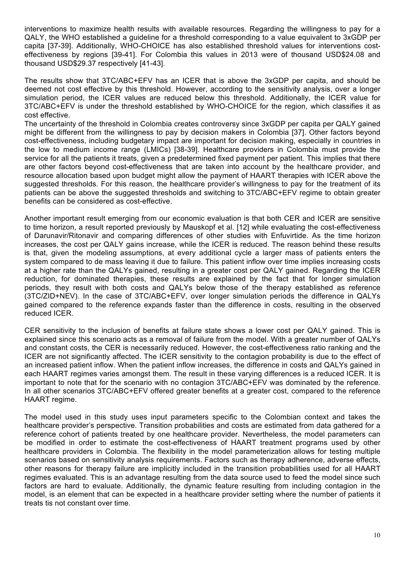interventions to maximize health results with available resources. Regarding the willingness to pay for a QALY, the WHO established a guideline for a threshold corresponding to a value equivalent to 3xGDP per capita [37-39]. Additionally, WHO-CHOICE has also established threshold values for interventions costeffectiveness by regions [39-41]. For Colombia this values in 2013 were of thousand USD\$24.08 and thousand USD\$29.37 respectively [41-43].

The results show that 3TC/ABC+EFV has an ICER that is above the 3xGDP per capita, and should be deemed not cost effective by this threshold. However, according to the sensitivity analysis, over a longer simulation period, the ICER values are reduced below this threshold. Additionally, the ICER value for 3TC/ABC+EFV is under the threshold established by WHO-CHOICE for the region, which classifies it as cost effective.

The uncertainty of the threshold in Colombia creates controversy since 3xGDP per capita per QALY gained might be different from the willingness to pay by decision makers in Colombia [37]. Other factors beyond cost-effectiveness, including budgetary impact are important for decision making, especially in countries in the low to medium income range (LMICs) [38-39]. Healthcare providers in Colombia must provide the service for all the patients it treats, given a predetermined fixed payment per patient. This implies that there are other factors beyond cost-effectiveness that are taken into account by the healthcare provider, and resource allocation based upon budget might allow the payment of HAART therapies with ICER above the suggested thresholds. For this reason, the healthcare provider's willingness to pay for the treatment of its patients can be above the suggested thresholds and switching to 3TC/ABC+EFV regime to obtain greater benefits can be considered as cost-effective.

Another important result emerging from our economic evaluation is that both CER and ICER are sensitive to time horizon, a result reported previously by Mauskopf et al. [12] while evaluating the cost-effectiveness of Darunavir/Ritonavir and comparing differences of other studies with Enfuvirtide. As the time horizon increases, the cost per QALY gains increase, while the ICER is reduced. The reason behind these results is that, given the modeling assumptions, at every additional cycle a larger mass of patients enters the system compared to de mass leaving it due to failure. This patient inflow over time implies increasing costs at a higher rate than the QALYs gained, resulting in a greater cost per QALY gained. Regarding the ICER reduction, for dominated therapies, these results are explained by the fact that for longer simulation periods, they result with both costs and QALYs below those of the therapy established as reference (3TC/ZID+NEV). In the case of 3TC/ABC+EFV, over longer simulation periods the difference in QALYs gained compared to the reference expands faster than the difference in costs, resulting in the observed reduced ICER.

CER sensitivity to the inclusion of benefits at failure state shows a lower cost per QALY gained. This is explained since this scenario acts as a removal of failure from the model. With a greater number of QALYs and constant costs, the CER is necessarily reduced. However, the cost-effectiveness ratio ranking and the ICER are not significantly affected. The ICER sensitivity to the contagion probability is due to the effect of an increased patient inflow. When the patient inflow increases, the difference in costs and QALYs gained in each HAART regimes varies amongst them. The result in these varying differences is a reduced ICER. It is important to note that for the scenario with no contagion 3TC/ABC+EFV was dominated by the reference. In all other scenarios 3TC/ABC+EFV offered greater benefits at a greater cost, compared to the reference HAART regime.

The model used in this study uses input parameters specific to the Colombian context and takes the healthcare provider's perspective. Transition probabilities and costs are estimated from data gathered for a reference cohort of patients treated by one healthcare provider. Nevertheless, the model parameters can be modified in order to estimate the cost-effectiveness of HAART treatment programs used by other healthcare providers in Colombia. The flexibility in the model parameterization allows for testing multiple scenarios based on sensitivity analysis requirements. Factors such as therapy adherence, adverse effects, other reasons for therapy failure are implicitly included in the transition probabilities used for all HAART regimes evaluated. This is an advantage resulting from the data source used to feed the model since such factors are hard to evaluate. Additionally, the dynamic feature resulting from including contagion in the model, is an element that can be expected in a healthcare provider setting where the number of patients it treats tis not constant over time.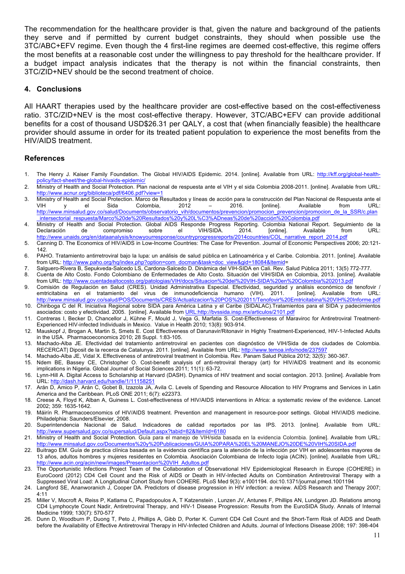The recommendation for the healthcare provider is that, given the nature and background of the patients they serve and if permitted by current budget constraints, they should when possible use the 3TC/ABC+EFV regime. Even though the 4 first-line regimes are deemed cost-effective, this regime offers the most benefits at a reasonable cost under the willingness to pay threshold for the healthcare provider. If a budget impact analysis indicates that the therapy is not within the financial constraints, then 3TC/ZID+NEV should be the second treatment of choice.

#### **4. Conclusions**

All HAART therapies used by the healthcare provider are cost-effective based on the cost-effectiveness ratio. 3TC/ZID+NEV is the most cost-effective therapy. However, 3TC/ABC+EFV can provide additional benefits for a cost of thousand USD\$26.31 per QALY, a cost that (when financially feasible) the healthcare provider should assume in order for its treated patient population to experience the most benefits from the HIV/AIDS treatment.

#### **References**

- 1. The Henry J. Kaiser Family Foundation. The Global HIV/AIDS Epidemic. 2014. [online]. Available from URL: http://kff.org/global-healthpolicy/fact-sheet/the-global-hivaids-epidemic/
- 2. Ministry of Health and Social Protection. Plan nacional de respuesta ante el VIH y el sida Colombia 2008-2011. [online]. Available from URL: http://www.acnur.org/biblioteca/pdf/6406.pdf?view=1
- 3. Ministry of Health and Social Protection. Marco de Resultados y líneas de acción para la construcción del Plan Nacional de Respuesta ante el VIH y el Sida Colombia, 2012 – 2016. [online]. Available from URL: http://www.minsalud.gov.co/salud/Documents/observatorio\_vih/documentos/prevencion/promocion\_prevencion/promocion\_de\_la\_SSR/c.plan intersectorial\_respuesta/Marco%20de%20Resultados%20y%20L%C3%ADneas%20de%20acción%20Colombia.pdf
- 4. Ministry of Health and Social Protection. Global AIDS Responde Progress Reporting. Colombia National Report. Seguimiento de la<br>1914. Declaración de compromiso sobre el VIH/SIDA. 2014. Ionlinel. Available from URL: Declaración de compromiso sobre el VIH/SIDA. 2014. [online]. Available from URL: http://www.unaids.org/en/dataanalysis/knowyourresponse/countryprogressreports/2014countries/COL\_narrative\_report\_2014.pdf
- 5. Canning D. The Economics of HIV/AIDS in Low-Income Countries: The Case for Prevention. Journal of Economic Perspectives 2006; 20:121- 142.
- 6. PAHO. Tratamiento antirretroviral bajo la lupa: un análisis de salud pública en Latinoamérica y el Caribe. Colombia. 2011. [online]. Available from URL: http://www.paho.org/hq/index.php?option=com\_docman&task=doc\_view&gid=18084&Itemid=
- 7. Salguero-Rivera B, Sepukveda-Salcedo LS, Cardona-Salcedo D. Dinámica del VIH-SIDA en Cali. Rev. Salud Pública 2011; 13(5) 772-777.
- 8. Cuenta de Alto Costo. Fondo Colombiano de Enfermedades de Alto Costo. Situación del VIH/SIDA en Colombia, 2013. [online]. Available from URL: http://www.cuentadealtocosto.org/patologias/VIH/docs/Situacion%20del%20VIH-SIDA%20en%20Colombia%202013.pdf
- 9. Comisión de Regulación en Salud (CRES). Unidad Administrativa Especial. Efectividad, seguridad y análisis económico de tenofovir / emtricitabina en el tratamiento del virus de inmunodeficiencia humano (VIH). 2011. [online]. Available from URL: http://www.minsalud.gov.co/salud/POS/Documents/CRES/Actualizacion%20POS%202011/Tenofovir%20Emtricitabina%20VIH%20Informe.pdf
- 10. Chiriboga C del R. Iniciativa Regional sobre SIDA para América Latina y el Caribe (SIDALAC).Tratamientos para el SIDA y padecimientos asociados: costo y efectividad. 2005. [online]. Available from URL:http://bvssida.insp.mx/articulos/2101.pdf
- 11. Contreras I, Becker D, Chancellor J, Kühne F, Mould J, Vega G, Marfatia S. Cost-Effectiveness of Maraviroc for Antiretroviral Treatment-Experienced HIV-infected Individuals in Mexico. Value in Health 2010; 13(8): 903-914.
- 12. Mauskopf J, Brogan A, Martin S, Smets E. Cost Effectiveness of Darunavir/Ritonavir in Highly Treatment-Experienced, HIV-1-Infected Adults in the USA. Pharmacoeconomics 2010; 28 Suppl. 1:83-105.
- 13. Machado-Alba JE. Efectividad del tratamiento antirretroviral en pacientes con diagnóstico de VIH/Sida de dos ciudades de Colombia. RECERCAT| Diposit de la recerca de Catalunya. 2011. [online]. Available from URL: http://www.temoa.info/node/237597
- 14. Machado-Alba JE, Vidal X. Effectiveness of antiretroviral treatment in Colombia. Rev. Panam Salud Pública 2012; 32(5): 360-367.
- 15. Ndem BE, Bassey CE, Christopher O. Cost-benefit analysis of anti-retroviral therapy (art) for HIV/AIDS treatment and its economic implications in Nigeria. Global Journal of Social Sciences 2011; 11(1): 63-72.
- 16. Lynn-Hill A. Digital Access to Scholarship at Harvard (DASH). Dynamics of HIV treatment and social contagion. 2013. [online]. Available from URL: http://dash.harvard.edu/handle/1/11158251
- 17. Arán D, Amico P, Arán C, Gobet B, Izazola JA, Avila C. Levels of Spending and Resource Allocation to HIV Programs and Services in Latin America and the Caribbean. PLoS ONE 2011; 6(7): e22373.
- 18. Creese A, Floyd K, Alban A, Guiness L. Cost-effectiveness of HIV/AIDS interventions in Africa: a systematic review of the evidence. Lancet 2002; 359: 1635-1642.
- 19. Máirín R. Pharmacoeconomics of HIV/AIDS treatment. Prevention and management in resource-poor settings. Global HIV/AIDS medicine. Philadelphia: Saunders/Elsevier, 2008.
- 20. Superintendencia Nacional de Salud. Indicadores de calidad reportados por las IPS. 2013. [online]. Available from URL: http://www.supersalud.gov.co/supersalud/Default.aspx?tabid=82&ItemId=6180
- 21. Ministry of Health and Social Protection. Guía para el manejo de VIH/sida basada en la evidencia Colombia. [online]. Available from URL: http://www.minsalud.gov.co/Documentos%20y%20Publicaciones/GUIA%20PARA%20EL%20MANEJO%20DE%20VIH%20SIDA.pdf
- 22. Buitrago EM. Guía de practica clínica basada en la evidencia científica para la atención de la infección por VIH en adolescentes mayores de 13 años, adultos hombres y mujeres residentes en Colombia. Asociación Colombiana de Infecto logia (ACIN). [online]. Available from URL: http://www.acin.org/acin/new/images/Presentacion%20VIH\_Adultos.pdf
- 23. The Opportunistic Infections Project Team of the Collaboration of Observational HIV Epidemiological Research in Europe (COHERE) in EuroCoord (2012) CD4 Cell Count and the Risk of AIDS or Death in HIV-Infected Adults on Combination Antiretroviral Therapy with a Suppressed Viral Load: A Longitudinal Cohort Study from COHERE. PLoS Med 9(3): e1001194. doi:10.1371/journal.pmed.1001194
- 24. Langford SE, Ananworanich J, Cooper DA. Predictors of disease progression in HIV infection: a review. AIDS Research and Therapy 2007; 4:11
- 25. Miller V, Mocroft A, Reiss P, Katlama C, Papadopoulos A, T Katzenstein , Lunzen JV, Antunes F, Phillips AN, Lundgren JD. Relations among CD4 Lymphocyte Count Nadir, Antiretroviral Therapy, and HIV-1 Disease Progression: Results from the EuroSIDA Study. Annals of Internal Medicine 1999; 130(7): 570-577
- 26. Dunn D, Woodburn P, Duong T, Peto J, Phillips A, Gibb D, Porter K. Current CD4 Cell Count and the Short-Term Risk of AIDS and Death before the Availability of Effective Antiretroviral Therapy in HIV-Infected Children and Adults. Journal of Infections Disease 2008; 197: 398-404